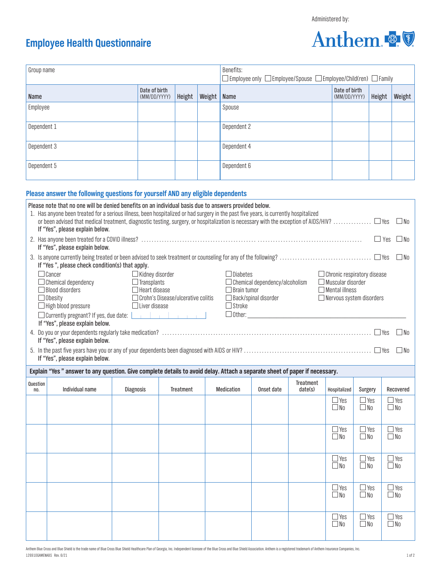Anthem

## **Employee Health Questionnaire**

| Group name                                                                                                                                                                                                                                                                                                                                                                                                                                                                                                                                                                                                                                                                                                                            |                                 |                  |                               |           |        | Benefits:<br>$\square$ Employee only $\square$ Employee/Spouse $\square$ Employee/Child(ren) $\square$ Family |            |                             |                               |                            |                            |  |
|---------------------------------------------------------------------------------------------------------------------------------------------------------------------------------------------------------------------------------------------------------------------------------------------------------------------------------------------------------------------------------------------------------------------------------------------------------------------------------------------------------------------------------------------------------------------------------------------------------------------------------------------------------------------------------------------------------------------------------------|---------------------------------|------------------|-------------------------------|-----------|--------|---------------------------------------------------------------------------------------------------------------|------------|-----------------------------|-------------------------------|----------------------------|----------------------------|--|
| Name                                                                                                                                                                                                                                                                                                                                                                                                                                                                                                                                                                                                                                                                                                                                  |                                 |                  | Date of birth<br>(MM/DD/YYYY) | Height    | Weight | Name                                                                                                          |            |                             | Date of birth<br>(MM/DD/YYYY) |                            | Height<br>Weight           |  |
| Employee                                                                                                                                                                                                                                                                                                                                                                                                                                                                                                                                                                                                                                                                                                                              |                                 |                  |                               |           |        | Spouse                                                                                                        |            |                             |                               |                            |                            |  |
| Dependent 1                                                                                                                                                                                                                                                                                                                                                                                                                                                                                                                                                                                                                                                                                                                           |                                 |                  |                               |           |        | Dependent 2                                                                                                   |            |                             |                               |                            |                            |  |
| Dependent 3                                                                                                                                                                                                                                                                                                                                                                                                                                                                                                                                                                                                                                                                                                                           |                                 |                  |                               |           |        | Dependent 4                                                                                                   |            |                             |                               |                            |                            |  |
| Dependent 5                                                                                                                                                                                                                                                                                                                                                                                                                                                                                                                                                                                                                                                                                                                           |                                 |                  |                               |           |        | Dependent 6                                                                                                   |            |                             |                               |                            |                            |  |
| Please answer the following questions for yourself AND any eligible dependents                                                                                                                                                                                                                                                                                                                                                                                                                                                                                                                                                                                                                                                        |                                 |                  |                               |           |        |                                                                                                               |            |                             |                               |                            |                            |  |
| Please note that no one will be denied benefits on an individual basis due to answers provided below.<br>1. Has anyone been treated for a serious illness, been hospitalized or had surgery in the past five years, is currently hospitalized<br>or been advised that medical treatment, diagnostic testing, surgery, or hospitalization is necessary with the exception of AIDS/HIV?  DYes<br>$\Box$ No<br>If "Yes", please explain below.<br>$\Box$ No<br>$\Box$ Yes                                                                                                                                                                                                                                                                |                                 |                  |                               |           |        |                                                                                                               |            |                             |                               |                            |                            |  |
|                                                                                                                                                                                                                                                                                                                                                                                                                                                                                                                                                                                                                                                                                                                                       | If "Yes", please explain below. |                  |                               |           |        |                                                                                                               |            |                             |                               |                            | $\Box$ No                  |  |
| If "Yes", please check condition(s) that apply.<br>$\Box$ Cancer<br>$\Box$ Kidney disorder<br>$\Box$ Diabetes<br>$\Box$ Chronic respiratory disease<br>$\Box$ Muscular disorder<br>$\Box$ Chemical dependency<br>$\Box$ Transplants<br>$\Box$ Chemical dependency/alcoholism<br>$\Box$ Blood disorders<br>$\Box$ Heart disease<br>$\Box$ Mental illness<br>$\Box$ Brain tumor<br>$\Box$ Crohn's Disease/ulcerative colitis<br>$\Box$ Back/spinal disorder<br>$\Box$ Obesity<br>$\Box$ Nervous system disorders<br>$\Box$ High blood pressure<br>$\Box$ Liver disease<br>$\Box$ Stroke<br>□ Currently pregnant? If yes, due date: <u>                       </u><br>If "Yes", please explain below.<br>If "Yes", please explain below. |                                 |                  |                               |           |        |                                                                                                               |            |                             |                               |                            | l INo                      |  |
|                                                                                                                                                                                                                                                                                                                                                                                                                                                                                                                                                                                                                                                                                                                                       | If "Yes", please explain below. |                  |                               |           |        |                                                                                                               |            |                             |                               |                            | $\Box$ No                  |  |
| Explain "Yes" answer to any question. Give complete details to avoid delay. Attach a separate sheet of paper if necessary.                                                                                                                                                                                                                                                                                                                                                                                                                                                                                                                                                                                                            |                                 |                  |                               |           |        |                                                                                                               |            |                             |                               |                            |                            |  |
| Question<br>no.                                                                                                                                                                                                                                                                                                                                                                                                                                                                                                                                                                                                                                                                                                                       | Individual name                 | <b>Diagnosis</b> |                               | Treatment |        | Medication                                                                                                    | Onset date | <b>Treatment</b><br>date(s) | Hospitalized                  | Surgery                    | Recovered                  |  |
|                                                                                                                                                                                                                                                                                                                                                                                                                                                                                                                                                                                                                                                                                                                                       |                                 |                  |                               |           |        |                                                                                                               |            |                             | $\Box$ Yes<br>$\Box$ No       | $\Box$ Yes<br>$\Box$ No    | $\Box$ Yes<br>$\square$ No |  |
|                                                                                                                                                                                                                                                                                                                                                                                                                                                                                                                                                                                                                                                                                                                                       |                                 |                  |                               |           |        |                                                                                                               |            |                             | $\Box$ Yes<br>$\Box$ No       | $\Box$ Yes<br>$\Box$ No    | $\Box$ Yes<br>$\square$ No |  |
|                                                                                                                                                                                                                                                                                                                                                                                                                                                                                                                                                                                                                                                                                                                                       |                                 |                  |                               |           |        |                                                                                                               |            |                             | $\Box$ Yes<br>$\Box$ No       | $\Box$ Yes<br>$\square$ No | $\Box$ Yes<br>$\square$ No |  |
|                                                                                                                                                                                                                                                                                                                                                                                                                                                                                                                                                                                                                                                                                                                                       |                                 |                  |                               |           |        |                                                                                                               |            |                             | $\Box$ Yes<br>$\Box$ No       | $\Box$ Yes<br>$\Box$ No    | $\Box$ Yes<br>$\square$ No |  |
|                                                                                                                                                                                                                                                                                                                                                                                                                                                                                                                                                                                                                                                                                                                                       |                                 |                  |                               |           |        |                                                                                                               |            |                             | $\Box$ Yes<br>$\Box$ No       | $\Box$ Yes<br>$\Box$ No    | $\Box$ Yes<br>$\square$ No |  |